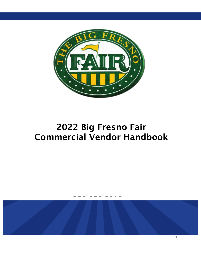

# 2022 Big Fresno Fair Commercial Vendor Handbook

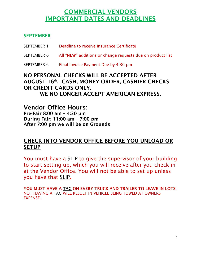# COMMERCIAL VENDORS IMPORTANT DATES AND DEADLINES

## **SEPTEMBER**

| SEPTEMBER 1 | Deadline to receive Insurance Certificate |  |  |
|-------------|-------------------------------------------|--|--|
|             |                                           |  |  |

- SEPTEMBER 6 All "NEW" additions or change requests due on product list
- SEPTEMBER 6 Final Invoice Payment Due by 4:30 pm

# NO PERSONAL CHECKS WILL BE ACCEPTED AFTER AUGUST 16th. CASH, MONEY ORDER, CASHIER CHECKS OR CREDIT CARDS ONLY. WE NO LONGER ACCEPT AMERICAN EXPRESS.

# Vendor Office Hours:

Pre-Fair 8:00 am – 4:30 pm During Fair: 11:00 am – 7:00 pm After 7:00 pm we will be on Grounds

# CHECK INTO VENDOR OFFICE BEFORE YOU UNLOAD OR **SETUP**

You must have a SLIP to give the supervisor of your building to start setting up, which you will receive after you check in at the Vendor Office. You will not be able to set up unless you have that SLIP.

YOU MUST HAVE A TAG ON EVERY TRUCK AND TRAILER TO LEAVE IN LOTS. NOT HAVING A TAG WILL RESULT IN VEHICLE BEING TOWED AT OWNERS **EXPENSE**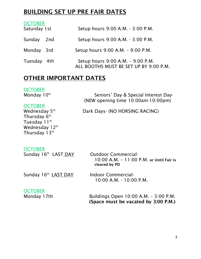# BUILDING SET UP PRE FAIR DATES

| <b>OCTOBER</b><br>Saturday 1 st |     | Setup hours 9:00 A.M. - 3:00 P.M.                                           |
|---------------------------------|-----|-----------------------------------------------------------------------------|
| Sunday                          | 2nd | Setup hours 9:00 A.M. - 3:00 P.M.                                           |
| Monday 3rd                      |     | Setup hours 9:00 A.M. - 9:00 P.M.                                           |
| Tuesday 4th                     |     | Setup hours 9:00 A.M. - 9:00 P.M.<br>ALL BOOTHS MUST BE SET UP BY 9:00 P.M. |

# OTHER IMPORTANT DATES

#### **OCTOBER** Monday 10<sup>th</sup>

 Seniors' Day & Special Interest Day- (NEW opening time 10:00am-10:00pm)

## **OCTOBER**

Wednesday 5<sup>th</sup> Thursday  $6^{\text{\tiny th}}$ Tuesday 11<sup>th</sup> Wednesday 12<sup>th</sup> Thursday 13th

Dark Days- (NO HORSING RACING)

# **OCTOBER**

Sunday 16th LAST DAY **Outdoor Commercial-**10:00 A.M. – 11:00 P.M. or Until Fair is cleared by PD

Sunday 16th **LAST DAY** 

Indoor Commercial-10:00 A.M. - 10:00 P.M.

# **OCTOBER**

Monday 17th Buildings Open 10:00 A.M. - 3:00 P.M. (Space must be vacated by 3:00 P.M.)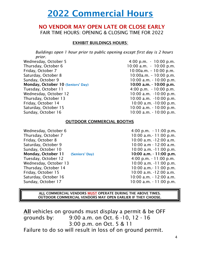# 2022 Commercial Hours

# NO VENDOR MAY OPEN LATE OR CLOSE EARLY FAIR TIME HOURS: OPENING & CLOSING TIME FOR 2022

#### EXHIBIT BUILDINGS HOURS:

*Buildings open 1 hour prior to public opening except first day is 2 hours prior.*

Wednesday, October 5 6 10:00 p.m. - 10:00 p.m. Thursday, October 6 10:00 a.m. - 10:00 p.m. Friday, October 7 10:00a.m. – 10:00 p.m. Saturday, October 8 10:00a.m. – 10:00 p.m. Sunday, October 9 10:00 a.m. - 10:00 p.m. Monday, October 10 (Seniors' Day) 10:00 a.m. - 10:00 p.m. Tuesday, October 11 1 1 2 2 3 4:00 p.m. - 10:00 p.m. Wednesday, October 12 10:00 a.m. -10:00 p.m. Thursday, October 13 10:00 a.m. -10:00 p.m. Friday, October 14 10:00 a.m. -10:00 p.m. Saturday, October 15 10:00 a.m. - 10:00 p.m. Sunday, October 16 10:00 a.m. - 10:00 p.m.

#### OUTDOOR COMMERCIAL BOOTHS

Wednesday, October 6 6 6 6 6 7 7 8 7 4:00 p.m. - 11:00 p.m. Thursday, October 7 10:00 a.m. - 11:00 p.m. Friday, October 8 10:00 a.m. -12:00 a.m. Saturday, October 9 10:00 a.m - 12:00 a.m. Sunday, October 10 10:00 a.m. -11:00 p.m. **Monday, October 11** (Seniors' Day) 10:00 a.m. - 11:00 p.m.<br>Tuesday, October 12 4:00 p.m. - 11:00 p.m. Wednesday, October 13 10:00 a.m. -11:00 p.m. Thursday, October 14 10:00 a.m. - 11:00 p.m. Friday, October 15 10:00 a.m. -12:00 a.m. Saturday, October 16 10:00 a.m. - 12:00 a.m. Sunday, October 17 10:00 a.m. - 11:00 p.m.

4:00 p.m. - 11:00 p.m.

ALL COMMERCIAL VENDORS MUST OPERATE DURING THE ABOVE TIMES. OUTDOOR COMMERCIAL VENDORS MAY OPEN EARLIER IF THEY CHOOSE.

All vehicles on grounds must display a permit & be OFF grounds by: 9:00 a.m. on Oct. 6 -10, 12 - 16 3:00 p.m. on Oct. 5 & 11 Failure to do so will result in loss of on ground permit.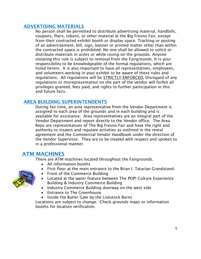### ADVERTISING MATERIALS

No person shall be permitted to distribute advertising material, handbills, coupons, fliers, tokens, or other material at the Big Fresno Fair, except from their contracted exhibit booth or display space. Tracking or posting of an advertisement, bill, sign, banner or printed matter other than within the contracted space is prohibited. No one shall be allowed to solicit or distribute materials in aisles or while roving on the grounds. Anyone violating this rule is subject to removal from the Fairgrounds. It is your responsibility to be knowledgeable of the formal regulations, which are listed herein. It is also important to have all representatives, employees, and volunteers working in your exhibit to be aware of these rules and regulations. All regulations will be STRICTLY ENFORCED. Disregard of any regulations or misrepresentation on the part of the vendor will forfeit all privileges granted, fees paid, and rights to further participation in this and future fairs.

## AREA BUILDING SUPERINTENDENTS

During fair time, an area representative from the Vendor Department is assigned to each area of the grounds and in each building and is available for assistance. Area representatives are an integral part of the Vendor Department and report directly to the Vendor office. The Area Reps are representatives of The Big Fresno Fair and have the right and authority to inspect and regulate activities as outlined in the rental agreement and the Commercial Vendor Handbook under the direction of the Vendor Supervisor. They are to be treated with respect and spoken to in a professional manner.

# ATM MACHINES

There are ATM machines located throughout the Fairgrounds.

- All information booths
- First floor at the main entrance to the Brian I. Tatarian Grandstand
- Front of the Commerce Building
- Located at the water feature between The POP! Culture Experience Building & Industry Commerce Building
- Industry Commerce Building doorway on the west side
- Entrance to The Greenhouse
- Inside the Butler Gate by the Livestock Barns

Locations are subject to change. Check grounds maps or information booths for location verification.

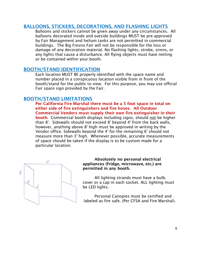#### BALLOONS, STICKERS, DECORATIONS, AND FLASHING LIGHTS

Balloons and stickers cannot be given away under any circumstances. All balloons decorated inside and outside buildings MUST be pre-approved by Fair Management and helium tanks are not permitted in commercial buildings. The Big Fresno Fair will not be responsible for the loss or damage of any decoration material. No flashing lights, strobe, sirens, or any lights that cause a disturbance. All flying objects must have netting or be contained within your booth.

#### BOOTH/STAND IDENTIFICATION

Each location MUST BE properly identified with the space name and number placed in a conspicuous location visible from in front of the booth/stand for the public to view. For this purpose, you may use official Fair space sign provided by the Fair.

#### BOOTH/STAND LIMITATIONS

Per California Fire Marshal there must be a 5 foot space in total on either side of fire extinguishers and fire hoses. All Outdoor Commercial Vendors must supply their own fire extinguisher in their booth. Commercial booth displays including signs, should not be higher than 8'. Sidewalls should not exceed 8' beyond 4' from the back walls, however, anything above 8' high must be approved in writing by the Vendor office. Sidewalls beyond the 4' for the remaining 6' should not measure more than 3' high. Whenever possible, accurate measurements of space should be taken if the display is to be custom made for a particular location.



#### Absolutely no personal electrical appliances (fridge, microwave, etc.) are permitted in any booth.

All lighting strands must have a bulb, cover or a cap in each socket. ALL lighting must be LED lights.

Personal Canopies must be certified and labeled as fire safe. (Per CFSA and Fire Marshal).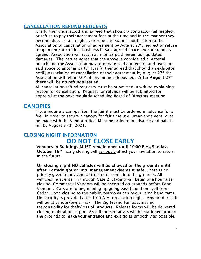#### CANCELLATION REFUND REQUESTS

It is further understood and agreed that should a contractor fail, neglect, or refuse to pay their agreement fees at the time and in the manner they become due, or fail, neglect, or refuse to submit notification to the Association of cancellation of agreement by August 27th, neglect or refuse to open and/or conduct business in said agreed space and/or stand as agreed, Association will retain all monies paid herein as liquidated damages. The parties agree that the above is considered a material breach and the Association may terminate said agreement and reassign said space to another party. It is further agreed that should an exhibitor notify Association of cancellation of their agreement by August 27th the Association will retain 50% of any monies deposited. After August 27<sup>th</sup> there will be no refunds issued.

All cancellation refund requests must be submitted in writing explaining reason for cancellation. Request for refunds will be submitted for approval at the next regularly scheduled Board of Directors meeting.

# **CANOPIES**

If you require a canopy from the fair it must be ordered in advance for a fee. In order to secure a canopy for fair time use, prearrangement must be made with the Vendor office. Must be ordered in advance and paid in full by August 27th, 2021.

## CLOSING NIGHT INFORMATION DO NOT CLOSE EARLY

 Vendors in Buildings MUST remain open until 10:00 P.M., Sunday, October 16<sup>th.</sup> Early closing will seriously affect your invitation to return in the future.

On closing night NO vehicles will be allowed on the grounds until after 12 midnight or until management deems it safe. There is no priority given to any vendor to park or come into the grounds. All vehicles must enter in through Gate 2. Staging will begin one hour after closing. Commercial Vendors will be escorted on grounds before Food Vendors. Cars are to begin lining up going east bound on Lyell from Cedar. Upon closing to the public, teardown can begin using hand carts. No security is provided after 1:00 A.M. on closing night. Any product left will be at vendor/owner risk. The Big Fresno Fair assumes no responsibility for theft/loss of products. Release forms will be delivered closing night about 9 p.m. Area Representatives will be stationed around the grounds to make your entrance and exit go as smoothly as possible.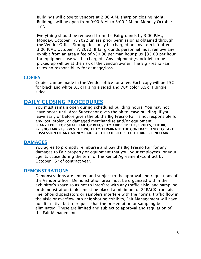Buildings will close to vendors at 2:00 A.M. sharp on closing night. Buildings will be open from 9:00 A.M. to 3:00 P.M. on Monday October  $17<sup>th</sup>$ .

Everything should be removed from the Fairgrounds by 3:00 P.M., Monday, October 17, 2022 unless prior permission is obtained through the Vendor Office. Storage fees may be charged on any item left after 3:00 P.M., October 17, 2022. If fairgrounds personnel must remove any exhibit from an area a fee of \$30.00 per man hour plus \$35.00 per hour for equipment use will be charged. Any shipments/stock left to be picked up will be at the risk of the vendor/owner. The Big Fresno Fair takes no responsibility for damage/loss.

#### **COPIES**

Copies can be made in the Vendor office for a fee. Each copy will be 15¢ for black and white 8.5x11 single sided and 70¢ color 8.5x11 single sided.

#### DAILY CLOSING PROCEDURES

You must remain open during scheduled building hours. You may not leave booth until Area Supervisor gives the ok to leave building. If you leave early or before given the ok the Big Fresno Fair is not responsible for any lost, stolen, or damaged merchandise and/or equipment. IF ANY EXHIBITOR SHALL FAIL OR REFUSE TO ABIDE BY THESE RULES, THE BIG FRESNO FAIR RESERVES THE RIGHT TO **TERMINATE** THE CONTRACT AND TO TAKE POSSESSION OF ANY MONEY PAID BY THE EXHIBITOR TO THE BIG FRESNO FAIR.

#### DAMAGES

You agree to promptly reimburse and pay the Big Fresno Fair for any damages to Fair property or equipment that you, your employees, or your agents cause during the term of the Rental Agreement/Contract by October 16<sup>th</sup> of contract year.

#### DEMONSTRATIONS

Demonstrations are limited and subject to the approval and regulations of the Vendor office. Demonstration area must be organized within the exhibitor's space so as not to interfere with any traffic aisle, and sampling or demonstration tables must be placed a minimum of 2' BACK from aisle line. Should spectators or samplers interfere with the normal traffic flow in the aisle or overflow into neighboring exhibits, Fair Management will have no alternative but to request that the presentation or sampling be eliminated. These are limited and subject to approval and regulation of the Fair Management.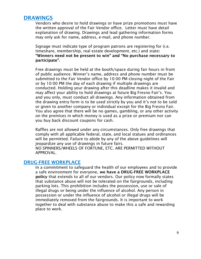# DRAWINGS

Vendors who desire to hold drawings or have prize promotions must have the written approval of the Fair Vendor office. Letter must have detail explanation of drawing. Drawings and lead gathering information forms may only ask for name, address, e-mail, and phone number.

Signage must indicate type of program patrons are registering for (i.e. timeshare, membership, real estate development, etc.) and state: "Winners need not be present to win" and "No purchase necessary to participate".

Free drawings must be held at the booth/space during fair hours in front of public audience. Winner's name, address and phone number must be submitted to the Fair Vendor office by 10:00 PM closing night of the Fair or by 10:00 PM the day of each drawing if multiple drawings are conducted. Holding your drawing after this deadline makes it invalid and may affect your ability to hold drawings at future Big Fresno Fair's. You and you only, must conduct all drawings. Any information obtained from the drawing entry form is to be used strictly by you and it's not to be sold or given to another company or individual except for the Big Fresno Fair. You also agree that there will be no games, gambling, or any other activity on the premises in which money is used as a prize or premium nor can you buy back discount coupons for cash.

Raffles are not allowed under any circumstances. Only free drawings that comply with all applicable federal, state, and local statues and ordinances will be permitted. Failure to abide by any of the above guidelines will jeopardize any use of drawings in future fairs. NO SPINNERS/WHEELS OF FORTUNE, ETC. ARE PERMITTED WITHOUT APPROVAL.

#### DRUG-FREE WORKPLACE

In a commitment to safeguard the health of our employees and to provide a safe environment for everyone, we have a DRUG-FREE WORKPLACE policy that extends to all of our vendors. Our policy now formally states that substance abuse will not be tolerated on the fairgrounds, including parking lots. This prohibition includes the possession, use or sale of illegal drugs or being under the influence of alcohol. Any person in possession or under the influence of alcohol or illegal drugs will be immediately removed from the fairgrounds. It is important to work together to deal with substance abuse to make this a safe and rewarding place to work.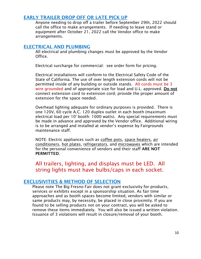#### EARLY TRAILER DROP OFF OR LATE PICK UP

Anyone needing to drop off a trailer before September 29th, 2022 should call the office to make arrangements. If needing to leave stand or equipment after October 21, 2022 call the Vendor office to make arrangements.

#### ELECTRICAL AND PLUMBING

All electrical and plumbing changes must be approved by the Vendor Office.

Electrical surcharge for commercial: see order form for pricing.

Electrical installations will conform to the Electrical Safety Code of the State of California. The use of over length extension cords will not be permitted inside of any building or outside stands. All cords must be 3 wire grounded and of appropriate size for load and U.L. approved. Do not connect extension cord to extension cord; provide the proper amount of extension for the space needed.

Overhead lighting adequate for ordinary purposes is provided. There is one 120V, 60 cycle A.C. 120 duplex outlet in each booth (maximum electrical load per 10' booth: 1000 watts). Any special requirements must be made in advance and approved by the Vendor office. Additional wiring is to be arranged and installed at vendor's expense by Fairgrounds maintenance staff.

NOTE: Electric appliances such as coffee pots, space heaters, air conditioners, hot plates, refrigerators, and microwaves which are intended for the personal convenience of vendors and their staff ARE NOT PERMITTED.

All trailers, lighting, and displays must be LED. All string lights must have bulbs/caps in each socket.

#### EXCLUSIVITIES & METHOD OF SELECTION

Please note The Big Fresno Fair does not grant exclusivity for products, services or exhibits except in a sponsorship situation. As fair time approaches and as booth spaces become limited, vendors with similar or same products may, by necessity, be placed in close proximity. If you are found to be selling products not on your contract, you will be asked to remove these items immediately. You will also be issued a written violation. Issuance of 3 violations will result in closure/removal of your booth.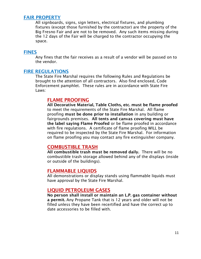#### FAIR PROPERTY

All signboards, signs, sign letters, electrical fixtures, and plumbing fixtures (except those furnished by the contractor) are the property of the Big Fresno Fair and are not to be removed. Any such items missing during the 12 days of the Fair will be charged to the contractor occupying the space.

#### FINES

Any fines that the fair receives as a result of a vendor will be passed on to the vendor.

#### FIRE REGULATIONS

The State Fire Marshal requires the following Rules and Regulations be brought to the attention of all contractors. Also find enclosed, Code Enforcement pamphlet. These rules are in accordance with State Fire Laws:

#### FLAME PROOFING

All Decorative Material, Table Cloths, etc. must be flame proofed to meet the requirements of the State Fire Marshal. All flame proofing must be done prior to installation in any building or fairgrounds premises. All tents and canvas covering must have the label saying Flame Proofed or be flame proofed in accordance with fire regulations. A certificate of flame proofing WILL be required to be inspected by the State Fire Marshal. For information on flame proofing you may contact any fire extinguisher company.

#### COMBUSTIBLE TRASH

All combustible trash must be removed daily. There will be no combustible trash storage allowed behind any of the displays (inside or outside of the buildings).

#### FLAMMABLE LIQUIDS

All demonstrations or display stands using flammable liquids must have approval by the State Fire Marshal.

#### LIQUID PETROLEUM GASES

No person shall install or maintain an L.P. gas container without a permit. Any Propane Tank that is 12 years and older will not be filled unless they have been recertified and have the correct up to date accessories to be filled with.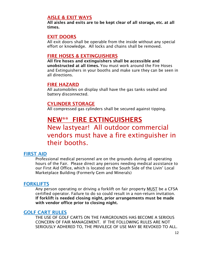#### AISLE & EXIT WAYS

All aisles and exits are to be kept clear of all storage, etc. at all times.

#### EXIT DOORS

All exit doors shall be operable from the inside without any special effort or knowledge. All locks and chains shall be removed.

#### FIRE HOSES & EXTINGUISHERS

All fire hoses and extinguishers shall be accessible and unobstructed at all times. You must work around the Fire Hoses and Extinguishers in your booths and make sure they can be seen in all directions.

#### FIRE HAZARD

All automobiles on display shall have the gas tanks sealed and battery disconnected.

#### CYLINDER STORAGE

All compressed gas cylinders shall be secured against tipping.

# NEW\*\* FIRE EXTINGUISHERS

# New lastyear! All outdoor commercial vendors must have a fire extinguisher in their booths.

#### FIRST AID

Professional medical personnel are on the grounds during all operating hours of the Fair. Please direct any persons needing medical assistance to our First Aid Office, which is located on the South Side of the Livin' Local Marketplace Building (Formerly Gem and Minerals)

#### **FORKLIFTS**

Any person operating or driving a forklift on fair property MUST be a CFSA certified operator. Failure to do so could result in a non-return invitation. If forklift is needed closing night, prior arrangements must be made with vendor office prior to closing night.

#### GOLF CART RULES

THE USE OF GOLF CARTS ON THE FAIRGROUNDS HAS BECOME A SERIOUS CONCERN OF FAIR MANAGEMENT. IF THE FOLLOWING RULES ARE NOT SERIOUSLY ADHERED TO, THE PRIVILEGE OF USE MAY BE REVOKED TO ALL.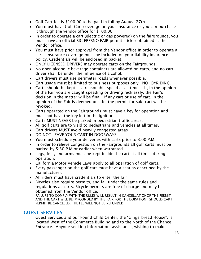- Golf Cart fee is \$100.00 to be paid in full by August 27th.
- You must have Golf Cart coverage on your insurance or you can purchase it through the vendor office for \$100.00
- In order to operate a cart (electric or gas powered) on the fairgrounds, you must have an official BIG FRESNO FAIR permit sticker obtained at the Vendor office.
- You must have prior approval from the Vendor office in order to operate a cart. Insurance coverage must be included on your liability insurance policy. Credentials will be enclosed in packet.
- ONLY LICENSED DRIVERS may operate carts on the Fairgrounds.
- No open alcoholic beverage containers are allowed on carts, and no cart driver shall be under the influence of alcohol.
- Cart drivers must use perimeter roads whenever possible.
- Cart usage must be limited to business purposes only. NO JOYRIDING.
- Carts should be kept at a reasonable speed at all times. If, in the opinion of the Fair you are caught speeding or driving recklessly, the Fair's decision in the matter will be final. If any cart or use of cart, in the opinion of the Fair is deemed unsafe, the permit for said cart will be revoked.
- Carts operated on the Fairgrounds must have a key for operation and must not have the key left in the ignition.
- Carts MUST NEVER be parked in pedestrian traffic areas.
- All golf carts are to yield to pedestrians and vehicles at all times.
- Cart drivers MUST avoid heavily congested areas.
- DO NOT LEAVE YOUR CART IN DOORWAYS.
- You must schedule your deliveries with carts prior to 3:00 P.M.
- In order to relieve congestion on the Fairgrounds all golf carts must be parked by 5:30 P.M or earlier when warranted.
- Legs, feet, and arms must be kept inside the cart at all times during operation.
- California Motor Vehicle Laws apply to all operation of golf carts.
- Every passenger on the golf cart must have a seat as described by the manufacturer.
- All riders must have credentials to enter the fair
- Bicycles also require permits, and fall under the same rules and regulations as carts. Bicycle permits are free of charge and may be obtained from the Vendor office.

FAILURE TO COMPLY WITH THE RULES WILL RESULT IN CANCELLATIONOF THE PERMIT AND THE CART WILL BE IMPOUNDED BY THE FAIR FOR THE DURATION. SHOULD CART PERMIT BE CANCELED, THE FEE WILL NOT BE REFUNDED.

#### GUEST SERVICES

Guest Services and our Found Child Center, the "Gingerbread House", is located West of the Commerce Building and to the North of the Chance Entrance. Anyone seeking information, assistance, wishing to make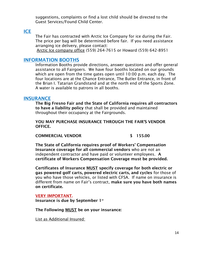suggestions, complaints or find a lost child should be directed to the Guest Services/Found Child Center.

#### ICE

The Fair has contracted with Arctic Ice Company for ice during the Fair. The price per bag will be determined before fair. If you need assistance arranging ice delivery, please contact:

Arctic Ice company office (559) 264-7615 or Howard (559) 642-8951

#### INFORMATION BOOTHS

Information Booths provide directions, answer questions and offer general assistance to all Fairgoers. We have four booths located on our grounds which are open from the time gates open until 10:00 p.m. each day. The four locations are at the Chance Entrance, The Butler Entrance, in front of the Brian I. Tatarian Grandstand and at the north end of the Sports Zone. A water is available to patrons in all booths.

#### **INSURANCE**

The Big Fresno Fair and the State of California requires all contractors to have a liability policy that shall be provided and maintained throughout their occupancy at the Fairgrounds.

YOU MAY PURCHASE INSURANCE THROUGH THE FAIR'S VENDOR OFFICE.

#### COMMERCIAL VENDOR \$ 155.00

The State of California requires proof of Workers' Compensation Insurance coverage for all commercial vendors who are not an independent contractor and have paid or volunteer employees. A certificate of Workers Compensation Coverage must be provided.

Certificates of Insurance MUST specify coverage for both electric or gas powered golf carts, powered electric carts, and cycles for those of you who have those vehicles, or listed with CFSA. If name on insurance is different from name on Fair's contract, make sure you have both names on certificate.

#### VERY IMPORTANT.

Insurance is due by September  $1<sup>st</sup>$ 

The Following MUST be on your insurance:

List as Additional Insured: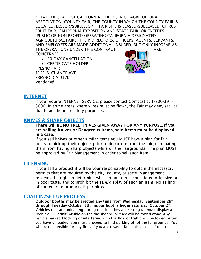"THAT THE STATE OF CALIFORNIA, THE DISTRICT AGRICULTURAL ASSOCIATION, COUNTY FAIR, THE COUNTY IN WHICH THE COUNTY FAIR IS LOCATED, LESSOR/SUBLESSOR IF FAIR SITE IS LEASED/SUBLEASED, CITRUS FRUIT FAIR, CALIFORNIA EXPOSITION AND STATE FAIR, OR ENTITIES (PUBLIC OR NON-PROFIT) OPERATING CALIFORNIA DESIGNATED AGRICULTURAL FAIRS, THEIR DIRECTORS, OFFICERS, AGENTS, SERVANTS, AND EMPLOYEES ARE MADE ADDITIONAL INSURED, BUT ONLY INSOFAR AS THE OPERATIONS UNDER THIS CONTRACT **ARE** CONCERNED."

- 30 DAY CANCELLATION
- CERTIFICATE HOLDER

FRESNO FAIR 1121 S. CHANCE AVE. FRESNO, CA 93702 Vendors@



#### **INTERNET**

If you require INTERNET SERVICE, please contact Comcast at 1-800-391- 3000. In some areas where wires must be flown, the Fair may deny service due to aesthetic or safety purposes.

#### KNIVES & SHARP OBJECTS

There will BE NO FREE KNIVES GIVEN AWAY FOR ANY PURPOSE. If you are selling Knives or Dangerous Items, said items must be displayed in a case.

If you sell knives or other similar items you MUST have a plan for fair goers to pick-up their objects prior to departure from the fair, eliminating them from having sharp objects while on the Fairgrounds. The plan MUST be approved by Fair Management in order to sell such item.

#### **LICENSING**

If you sell a product it will be your responsibility to obtain the necessary permits that are required by the city, county, or state. Management reserves the right to determine whether an item is considered offensive or in poor taste, and to prohibit the sale/display of such an item. No selling of confederate products is permitted.

#### LOAD IN/SET UP PROCESS

Outdoor booths may be erected any time from Wednesday, September 29<sup>th</sup> through Tuesday October 5th. Indoor booths begin Saturday, October 2nd. Vehicles that are unloading during the time they are setting up must display a "Vehicle ID Permit" visible on the dashboard, or they will be towed away. Any vehicle parked blocking or interfering with the flow of traffic will be towed. After you have unloaded, you must proceed to find parking off of the fairgrounds. You will be responsible for any fines if you are towed. Keep aisles clear from trash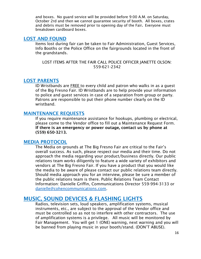and boxes. No guard service will be provided before 9:00 A.M. on Saturday, October 2rd and then we cannot guarantee security of booth. All boxes, crates and debris must be removed prior to opening day of the Fair. Everyone must breakdown cardboard boxes.

#### LOST AND FOUND

Items lost during fair can be taken to Fair Administration, Guest Services, Info Booths or the Police Office on the fairgrounds located in the front of the grandstands.

LOST ITEMS AFTER THE FAIR CALL POLICE OFFICER JANETTE OLSON: 559-621-2342

#### LOST PARENTS

ID Wristbands are FREE to every child and patron who walks in as a guest of the Big Fresno Fair. ID Wristbands are to help provide your information to police and guest services in case of a separation from group or party. Patrons are responsible to put their phone number clearly on the ID wristband.

#### MAINTENANCE REQUESTS

If you require maintenance assistance for hookups, plumbing or electrical, please come to the Vendor office to fill out a Maintenance Request Form. If there is an emergency or power outage, contact us by phone at (559) 650-3213.

#### MEDIA PROTOCOL

The Media on grounds at The Big Fresno Fair are critical to the Fair's overall success. As such, please respect our media and their time. Do not approach the media regarding your product/business directly. Our public relations team works diligently to feature a wide variety of exhibitors and vendors at The Big Fresno Fair. If you have a product that you would like the media to be aware of please contact our public relations team directly. Should media approach you for an interview, please be sure a member of the public relations team is there. Public Relations Team Contact Information: Danielle Griffin, Communications Director 559-994-3133 or [danielle@cohencommunications.com.](mailto:danielle@cohencommunications.com)

## MUSIC, SOUND DEVICES & FLASHING LIGHTS

Radios, television sets, loud speakers, amplification systems, musical instruments, etc., are subject to the approval of the Vendor office and must be controlled so as not to interfere with other contractors. The use of amplification systems is a privilege. All music will be monitored by Fair Management. You will get 1 (ONE) warning, next warning and you will be banned from playing music in your booth/stand. (DON'T ABUSE).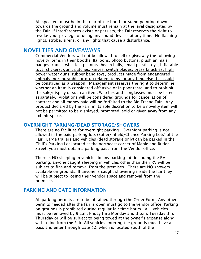All speakers must be in the rear of the booth or stand pointing down towards the ground and volume must remain at the level designated by the Fair. If interferences exists or persists, the Fair reserves the right to revoke your privilege of using any sound devices at any time. No flashing lights, strobe, sirens, or any lights that cause a disturbance.

#### NOVELTIES AND GIVEAWAYS

Commercial Vendors will not be allowed to sell or giveaway the following novelty items in their booths: Balloons, photo buttons, plush animals, badges, canes, whistles, peanuts, beach balls, small plastic toys, inflatable toys, stickers, gum, patches, knives, switch blades, brass knuckles, high power water guns, rubber band toys, products made from endangered animals, pornographic or drug related items, or anything else that could be construed as a weapon. Management reserves the right to determine whether an item is considered offensive or in poor taste, and to prohibit the sale/display of such an item. Watches and sunglasses must be listed separately. Violations will be considered grounds for cancellation of contract and all money paid will be forfeited to the Big Fresno Fair. Any product declared by the Fair, in its sole discretion to be a novelty item will not be permitted to be displayed, promoted, sold or given away from any exhibit space.

#### OVERNIGHT PARKING/DEAD STORAGE/SHOWERS

There are no facilities for overnight parking. Overnight parking is not allowed in the paid parking lots (Butler/Infield/Chance Parking Lots) of the Fair. Large trailers and vehicles (dead storage only) can be parked in the Chili's Parking Lot located at the northeast corner of Maple and Butler Street; you must obtain a parking pass from the Vendor office.

There is NO sleeping in vehicles in any parking lot, including the RV parking; anyone caught sleeping in vehicles other than their RV will be subject to fine and removal from the premises. There are NO showers available on grounds. If anyone is caught showering inside the fair they will be subject to losing their vendor space and removal from the premises.

#### PARKING AND GATE INFORMATION

All parking permits are to be obtained through the Order Form. Any other permits needed after the fair is open must go to the vendor office. Parking on grounds is prohibited during regular fair time hours. ALL vehicles must be removed by 9 a.m. Friday thru Monday and 3 p.m. Tuesday thru Thursday or will be subject to being towed at the owner's expense along with a fine from the Fair. All vehicles entering the grounds must have a pass and enter through Gate #2, which is located south of the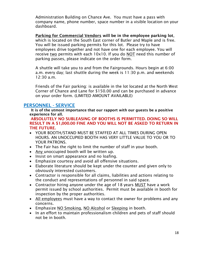Administration Building on Chance Ave. You must have a pass with company name, phone number, space number in a visible location on your dashboard.

Parking for Commercial Vendors will be in the employee parking lot, which is located on the South East corner of Butler and Maple and is free. You will be issued parking permits for this lot. Please try to have employees drive together and not have one for each employee. You will receive two permits with each 10x10. If you do NOT need this number of parking passes, please indicate on the order form.

A shuttle will take you to and from the Fairgrounds. Hours begin at 6:00 a.m. every day; last shuttle during the week is 11:30 p.m. and weekends 12:30 a.m.

Friends of the Fair parking: is available in the lot located at the North West Corner of Chance and Lane for \$150.00 and can be purchased in advance on your order form. (LIMITED AMOUNT AVAILABLE)

#### PERSONNEL - SERVICE

It is of the utmost importance that our rapport with our guests be a positive experience for all.

ABSOLUTELY NO SUBLEASING OF BOOTHS IS PERMITTED. DOING SO WILL RESULT IN A \$1,000.00 FINE AND YOU WILL NOT BE ASKED TO RETURN IN THE FUTURE.

- YOUR BOOTH/STAND MUST BE STAFFED AT ALL TIMES DURING OPEN HOURS. AN UNOCCUPIED BOOTH HAS VERY LITTLE VALUE TO YOU OR TO YOUR PATRONS.
- The Fair has the right to limit the number of staff in your booth.
- Any unoccupied booth will be written up.
- Insist on smart appearance and no loafing.
- Emphasize courtesy and avoid all offensive situations.
- Elaborate literature should be kept under the counter and given only to obviously interested customers.
- Contractor is responsible for all claims, liabilities and actions relating to the conduct and representations of personnel in said space.
- Contractor hiring anyone under the age of 18 years MUST have a work permit issued by school authorities. Permit must be available in booth for inspection by the proper authorities.
- All employees must have a way to contact the owner for problems and any concerns.
- Emphasize NO Smoking, NO Alcohol or Sleeping in booth.
- In an effort to maintain professionalism children and pets of staff should not be in booth.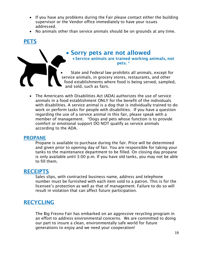- If you have any problems during the Fair please contact either the building supervisor or the Vendor office immediately to have your issues addressed.
- No animals other than service animals should be on grounds at any time.

# **PETS**



# Sorry pets are not allowed

 Service animals are trained working animals, not pets. \*

 State and Federal law prohibits all animals, except for service animals, in grocery stores, restaurants, and other food establishments where food is being served, sampled, and sold, such as fairs.

 The Americans with Disabilities Act (ADA) authorizes the use of service animals in a food establishment ONLY for the benefit of the individuals with disabilities. A service animal is a dog that is individually trained to do work or perform tasks for people with disabilities. If you have a question regarding the use of a service animal in this fair, please speak with a member of management. \*Dogs and pets whose function is to provide comfort or emotional support DO NOT qualify as service animals according to the ADA.

#### PROPANE

Propane is available to purchase during the fair. Price will be determined and given prior to opening day of fair. You are responsible for taking your tanks to the maintenance department to be filled. On closing day propane is only available until 3:00 p.m. If you have old tanks, you may not be able to fill them.

## RECEIPTS

Sales slips, with contracted business name, address and telephone number must be furnished with each item sold to a patron. This is for the licensee's protection as well as that of management. Failure to do so will result in violation that can affect future participation.

# **RECYCLING**

The Big Fresno Fair has embarked on an aggressive recycling program in an effort to address environmental concerns. We are committed to doing our part to insure a clean, environmentally safe world for future generations to enjoy and we need your cooperation!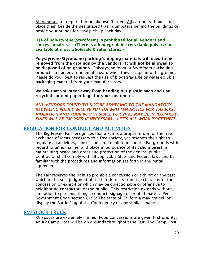All Vendors are required to breakdown (flatten) All cardboard boxes and place them beside the designated trash dumpsters behind the buildings or beside your stands for easy pick up each day.

Use of polystyrene (Styrofoam) is prohibited for all vendors and concessionaires. (There is a biodegradable recyclable polystyrene available at most wholesale & retail stores.)

Polystyrene (Styrofoam) packing/shipping materials will need to be removed from the grounds by the vendors. It will not be allowed to be disposed of on grounds. Polystyrene foam or Styrofoam packaging products are an environmental hazard when they escape into the ground. Please do your best to request the use of biodegradable or water-soluble packaging material from your manufacturers.

We ask that you steer away from handing out plastic bags and use recycled content paper bags for your customers.

*ANY VENDORS FOUND TO NOT BE ADHERING TO THE MANDATORY RECYCLING POLICY WILL BE PUT ON WRITTEN NOTICE FOR THE FIRST VIOLATION AND YOUR BOOTH SPACE FOR 2023 MAY BE IN JEOPARDY. FINES WILL BE IMPOSED IF NECESSARY. LET'S ALL WORK TOGETHER!*

#### REGULATION FOR CONDUCT AND ACTIVITIES

The Big Fresno Fair recognizes that a Fair is a proper forum for the free exchange of ideas necessary to a free society, yet reserves the right to regulate all activities, concessions and exhibitions on the Fairgrounds with regard to time, manner and place in pursuance of its valid interest in maintaining peace and order and protection of the general public. Contractor shall comply with all applicable State and Federal laws and be familiar with the procedures and information set forth in the rental agreement.

The Fair reserves the right to prohibit a concession or exhibit or any part which in the sole judgment of the fair detracts from the character of the concession or exhibit or which may be objectionable or offensive to neighboring contractors or the public. This restriction extends without limitation to persons, things, conduct, signage or printed matter. Per Government Code section 8195: The state of California may not sell or display the Battle Flag of the Confederacy or any similar image.

#### RV/STOCK TRUCK

RV spaces are extremely limited. Food concessions are given first priority. An RV Camp Host will be on grounds throughout the Fair. The Camp Host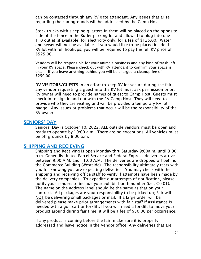can be contacted through any RV gate attendant. Any issues that arise regarding the campgrounds will be addressed by the Camp Host.

Stock trucks with sleeping quarters in them will be placed on the opposite side of the fence in the Butler parking lot and allowed to plug into one 110 outlet (if available) for electricity only, for a fee of \$125.00. Water and sewer will not be available. If you would like to be placed inside the RV lot with full hookups, you will be required to pay the full RV price of \$525.00.

Vendors will be responsible for your animals business and any kind of trash left in your RV space. Please check out with RV attendant to confirm your space is clean. If you leave anything behind you will be charged a cleanup fee of \$250.00.

RV VISITORS/GUESTS In an effort to keep RV lot secure during the fair any vendor requesting a guest into the RV lot must ask permission prior. RV owner will need to provide names of guest to Camp Host. Guests must check in to sign in and out with the RV Camp Host. They will need to provide who they are visiting and will be provided a temporary RV lot badge. Any issues or problems that occur will be the responsibility of the RV owner.

#### SENIORS' DAY

Seniors' Day is October 10, 2022. ALL outside vendors must be open and ready to operate by 10:00 a.m. There are no exceptions. All vehicles must be off grounds by 8:00 a.m.

#### SHIPPING AND RECIEVING

Shipping and Receiving is open Monday thru Saturday 9:00a.m. until 3:00 p.m. Generally United Parcel Service and Federal Express deliveries arrive between 9:00 A.M. and 11:00 A.M. The deliveries are dropped off behind the Commerce Building (Westside). The responsibility ultimately rests with you for knowing you are expecting deliveries. You may check with the shipping and receiving office staff to verify if attempts have been made by the delivery companies. To expedite our attempts of notification, please notify your senders to include your exhibit booth number (i.e.; C-201). The name on the address label should be the same as that on your contract. All packages are your responsibility to be picked up; Fair will NOT be delivering small packages or mail. If a large order will be delivered please make prior arrangements with fair staff if assistance is needed with a golf cart or forklift. If you will need a forklift to move your product around during fair time, it will be a fee of \$50.00 per occurrence.

If any product is coming before the fair, make sure it is properly addressed and leave notice in the Vendor office. Any deliveries that are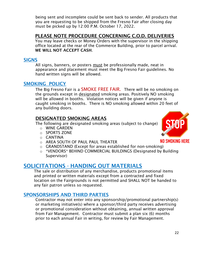being sent and incomplete could be sent back to sender. All products that you are requesting to be shipped from the Fresno Fair after closing day must be picked up by 12:00 P.M. October 17, 2022.

## PLEASE NOTE PROCEDURE CONCERNING C.O.D. DELIVERIES

You may leave checks or Money Orders with the supervisor in the shipping office located at the rear of the Commerce Building, prior to parcel arrival. WE WILL NOT ACCEPT CASH.

#### SIGNS

All signs, banners, or posters must be professionally made, neat in appearance and placement must meet the Big Fresno Fair guidelines. No hand written signs will be allowed.

#### SMOKING POLICY

The Big Fresno Fair is a SMOKE FREE FAIR. There will be no smoking on the grounds except in designated smoking areas. Positively NO smoking will be allowed in booths. Violation notices will be given if anyone is caught smoking in booths. There is NO smoking allowed within 20 feet of any building doors.

#### DESIGNATED SMOKING AREAS

The following are designated smoking areas (subject to change)

- o WINE GARDEN
- o SPORTS ZONE
- o CANTINA
- o AREA SOUTH OF PAUL PAUL THEATER
- o GRANDSTAND (Except for areas established for non-smoking)
- o \*VENDORS\* BEHIND COMMERCIAL BUILDINGS (Designated by Building Supervisor)

# SOLICITATIONS - HANDING OUT MATERIALS

The sale or distribution of any merchandise, products promotional items and printed or written materials except from a contracted and fixed location on the Fairgrounds is not permitted and SHALL NOT be handed to any fair patron unless so requested.

#### SPONSORSHIPS AND THIRD PARTIES

Contractor may not enter into any sponsorship/promotional partnership(s) or marketing initiative(s) where a sponsor/third party receives advertising or promotional consideration without obtaining, annual written approval from Fair Management. Contractor must submit a plan six (6) months prior to each annual Fair in writing, for review by Fair Management.



**NO SMOKING HERE**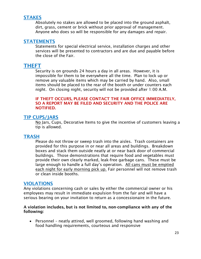#### **STAKES**

Absolutely no stakes are allowed to be placed into the ground asphalt, dirt, grass, cement or brick without prior approval of management. Anyone who does so will be responsible for any damages and repair.

#### **STATEMENTS**

Statements for special electrical service, installation charges and other services will be presented to contractors and are due and payable before the close of the Fair.

## THEFT

Security is on grounds 24 hours a day in all areas. However, it is impossible for them to be everywhere all the time. Plan to lock up or remove any valuable items which may be carried by hand. Also, small items should be placed to the rear of the booth or under counters each night. On closing night, security will not be provided after 1:00 A.M.

#### IF THEFT OCCURS, PLEASE CONTACT THE FAIR OFFICE IMMEDIATELY, SO A REPORT MAY BE FILED AND SECURITY AND THE POLICE ARE NOTIFIED.

#### TIP CUPS/JARS

No Jars, Cups, Decorative Items to give the incentive of customers leaving a tip is allowed.

#### **TRASH**

Please do not throw or sweep trash into the aisles. Trash containers are provided for this purpose in or near all areas and buildings. Breakdown boxes and stack them outside neatly at or near back door of commercial buildings. Those demonstrations that require food and vegetables must provide their own clearly marked, leak-free garbage cans. These must be large enough to handle a full day's operation. All cans must be emptied each night for early morning pick up. Fair personnel will not remove trash or clean inside booths.

#### VIOLATIONS

Any violations concerning cash or sales by either the commercial owner or his employees may result in immediate expulsion from the fair and will have a serious bearing on your invitation to return as a concessionaire in the future.

#### A violation includes, but is not limited to, non-compliance with any of the following:

 Personnel – neatly attired, well groomed, following hand washing and food handling requirements, courteous and responsive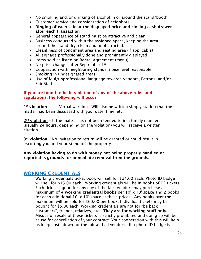- No smoking and/or drinking of alcohol in or around the stand/booth
- Customer service and consideration of neighbors
- Ringing of each sale at the displayed price and closing cash drawer after each transaction
- General appearance of stand must be attractive and clean
- Business conducted within the assigned space, keeping the area around the stand dry, clean and unobstructed.
- Cleanliness of condiment area and seating area (if applicable)
- All signage professionally done and prominently displayed
- Items sold as listed on Rental Agreement (menu)
- No price changes after September  $1^{st}$
- Cooperation with neighboring stands, noise level reasonable
- Smoking in undesignated areas.
- Use of foul/unprofessional language towards Vendors, Patrons, and/or Fair Staff.

#### If you are found to be in violation of any of the above rules and regulations, the following will occur:

1<sup>st</sup> violation -Verbal warning. Will also be written simply stating that the matter had been discussed with you, date, time, etc.

2<sup>nd</sup> violation - If the matter has not been tended to in a timely manner (usually 24 hours, depending on the violation) you will receive a written citation.

3<sup>rd</sup> violation - No invitation to return will be granted or could result in escorting you and your stand off the property

Any violation having to do with money not being properly handled or reported is grounds for immediate removal from the grounds.

#### WORKING CREDENTIALS

Working credentials ticket book will sell for \$24.00 each. Photo ID badge will sell for \$15.00 each. Working credentials will be in books of 12 tickets. Each ticket is good for any day of the fair. Vendors may purchase a maximum of 4 working credential books per  $10' \times 10'$  space and 2 books for each additional  $10' \times 10'$  space at these prices. Any books over the maximum will be sold for \$60.00 per book. Individual tickets may be bought for \$5.00 each. Working credentials are not for "be back customers", friends, relatives, etc. They are for working staff only. Misuse or resale of these tickets is strictly prohibited and doing so will be cause for cancellation of your contract. Your cooperation with this will help us keep costs down for the fair and all vendors. If a photo ID badge is